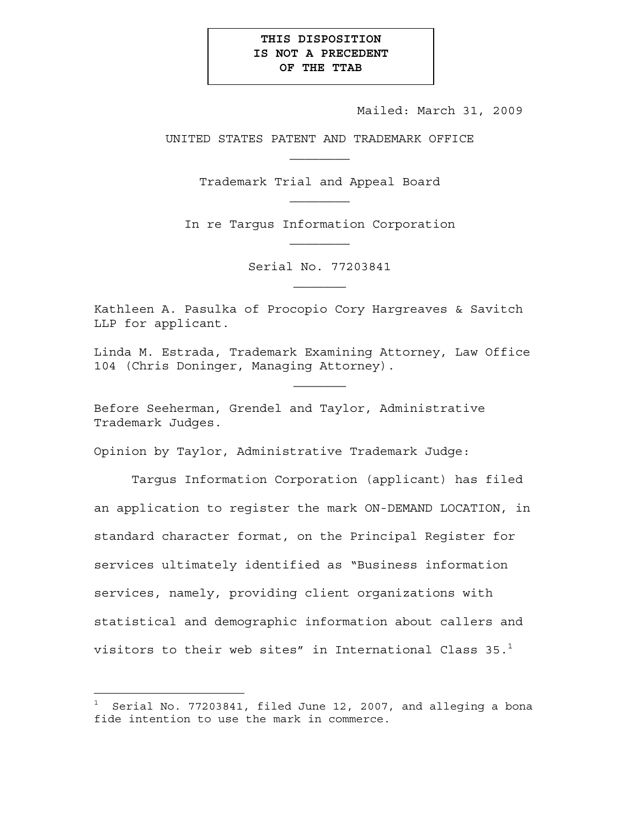## **THIS DISPOSITION IS NOT A PRECEDENT OF THE TTAB**

Mailed: March 31, 2009

UNITED STATES PATENT AND TRADEMARK OFFICE  $\mathcal{L}_\text{max}$ 

Trademark Trial and Appeal Board

In re Targus Information Corporation

Serial No. 77203841  $\mathcal{L}_\text{max}$ 

Kathleen A. Pasulka of Procopio Cory Hargreaves & Savitch LLP for applicant.

Linda M. Estrada, Trademark Examining Attorney, Law Office 104 (Chris Doninger, Managing Attorney).

 $\mathcal{L}_\text{max}$ 

Before Seeherman, Grendel and Taylor, Administrative Trademark Judges.

Opinion by Taylor, Administrative Trademark Judge:

Targus Information Corporation (applicant) has filed an application to register the mark ON-DEMAND LOCATION, in standard character format, on the Principal Register for services ultimately identified as "Business information services, namely, providing client organizations with statistical and demographic information about callers and visitors to their web sites" in International Class  $35.^1$ 

—<br>—

 $^{\rm 1}$  Serial No. 77203841, filed June 12, 2007, and alleging a bona fide intention to use the mark in commerce.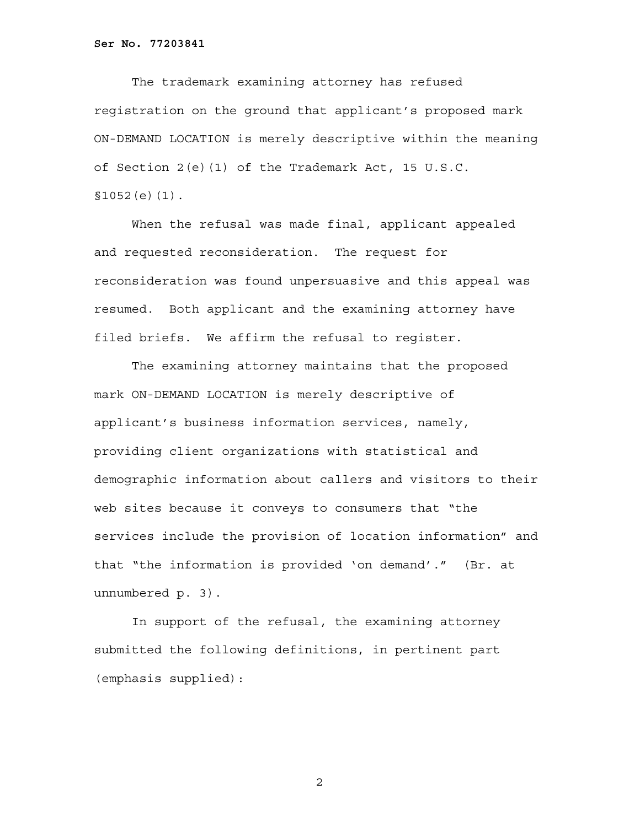**Ser No. 77203841**

 The trademark examining attorney has refused registration on the ground that applicant's proposed mark ON-DEMAND LOCATION is merely descriptive within the meaning of Section 2(e)(1) of the Trademark Act, 15 U.S.C. §1052(e)(1).

 When the refusal was made final, applicant appealed and requested reconsideration. The request for reconsideration was found unpersuasive and this appeal was resumed. Both applicant and the examining attorney have filed briefs. We affirm the refusal to register.

The examining attorney maintains that the proposed mark ON-DEMAND LOCATION is merely descriptive of applicant's business information services, namely, providing client organizations with statistical and demographic information about callers and visitors to their web sites because it conveys to consumers that "the services include the provision of location information" and that "the information is provided 'on demand'." (Br. at unnumbered p. 3).

In support of the refusal, the examining attorney submitted the following definitions, in pertinent part (emphasis supplied):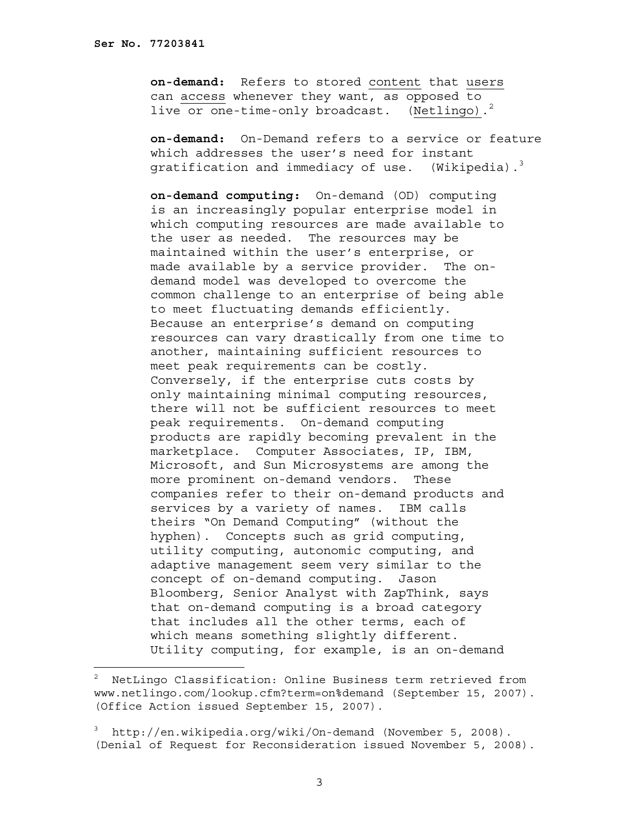÷,

**on-demand:** Refers to stored content that users can <u>access</u> whenever they want, as opposed to<br>live or one-time-only broadcast. (Netlingo).<sup>2</sup> live or one-time-only broadcast.

**on-demand:** On-Demand refers to a service or feature which addresses the user's need for instant gratification and immediacy of use. (Wikipedia).<sup>3</sup>

**on-demand computing:** On-demand (OD) computing is an increasingly popular enterprise model in which computing resources are made available to the user as needed. The resources may be maintained within the user's enterprise, or made available by a service provider. The ondemand model was developed to overcome the common challenge to an enterprise of being able to meet fluctuating demands efficiently. Because an enterprise's demand on computing resources can vary drastically from one time to another, maintaining sufficient resources to meet peak requirements can be costly. Conversely, if the enterprise cuts costs by only maintaining minimal computing resources, there will not be sufficient resources to meet peak requirements. On-demand computing products are rapidly becoming prevalent in the marketplace. Computer Associates, IP, IBM, Microsoft, and Sun Microsystems are among the more prominent on-demand vendors. These companies refer to their on-demand products and services by a variety of names. IBM calls theirs "On Demand Computing" (without the hyphen). Concepts such as grid computing, utility computing, autonomic computing, and adaptive management seem very similar to the concept of on-demand computing. Jason Bloomberg, Senior Analyst with ZapThink, says that on-demand computing is a broad category that includes all the other terms, each of which means something slightly different. Utility computing, for example, is an on-demand

 $^2$  NetLingo Classification: Online Business term retrieved from www.netlingo.com/lookup.cfm?term=on%demand (September 15, 2007). (Office Action issued September 15, 2007).

<sup>3</sup> http://en.wikipedia.org/wiki/On-demand (November 5, 2008). (Denial of Request for Reconsideration issued November 5, 2008).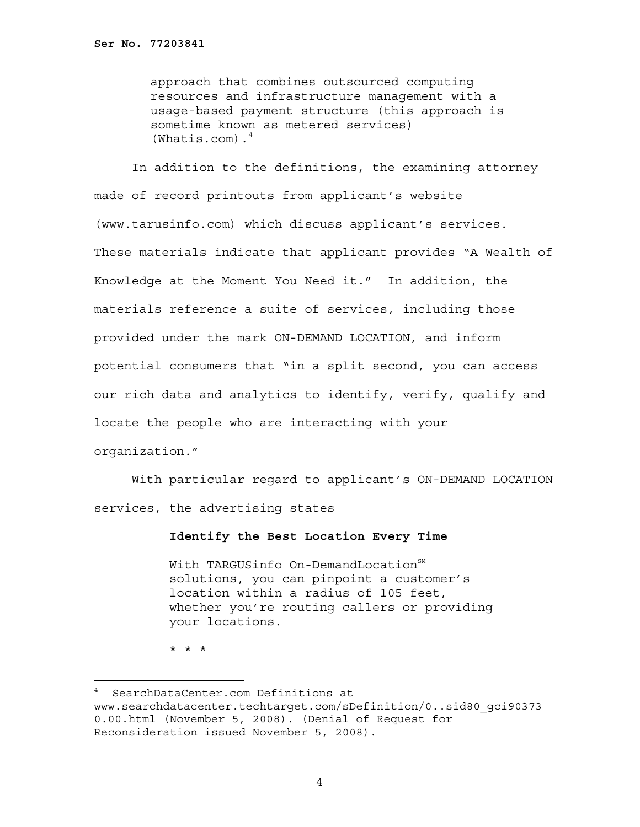approach that combines outsourced computing resources and infrastructure management with a usage-based payment structure (this approach is sometime known as metered services)  $(Whatis.com).<sup>4</sup>$ 

In addition to the definitions, the examining attorney made of record printouts from applicant's website (www.tarusinfo.com) which discuss applicant's services. These materials indicate that applicant provides "A Wealth of Knowledge at the Moment You Need it." In addition, the materials reference a suite of services, including those provided under the mark ON-DEMAND LOCATION, and inform potential consumers that "in a split second, you can access our rich data and analytics to identify, verify, qualify and locate the people who are interacting with your organization."

With particular regard to applicant's ON-DEMAND LOCATION services, the advertising states

## **Identify the Best Location Every Time**

With TARGUSinfo On-DemandLocation<sup>SM</sup> solutions, you can pinpoint a customer's location within a radius of 105 feet, whether you're routing callers or providing your locations.

\* \* \*

<sup>4</sup> SearchDataCenter.com Definitions at www.searchdatacenter.techtarget.com/sDefinition/0..sid80\_gci90373 0.00.html (November 5, 2008). (Denial of Request for Reconsideration issued November 5, 2008).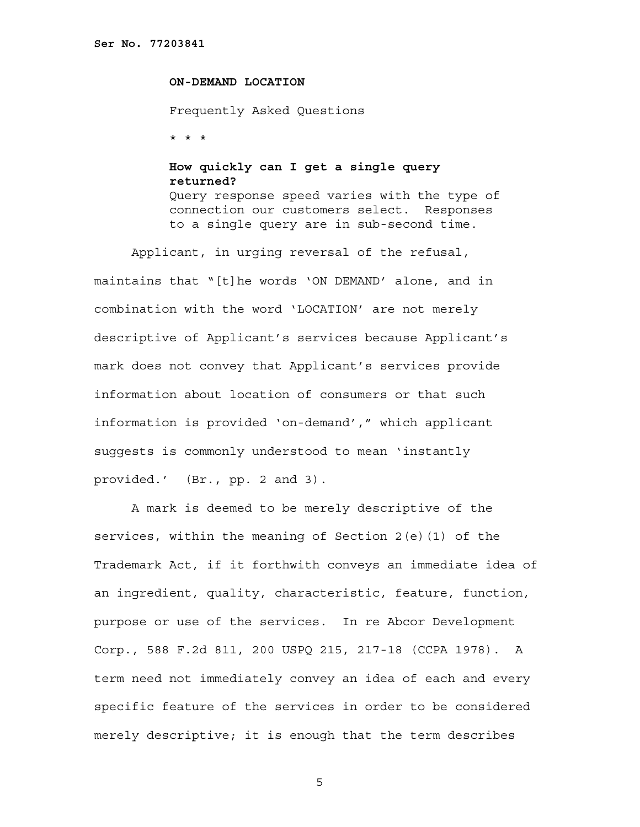## **ON-DEMAND LOCATION**

Frequently Asked Questions

\* \* \*

## **How quickly can I get a single query returned?**  Query response speed varies with the type of connection our customers select. Responses

to a single query are in sub-second time.

 Applicant, in urging reversal of the refusal, maintains that "[t]he words 'ON DEMAND' alone, and in combination with the word 'LOCATION' are not merely descriptive of Applicant's services because Applicant's mark does not convey that Applicant's services provide information about location of consumers or that such information is provided 'on-demand'," which applicant suggests is commonly understood to mean 'instantly provided.' (Br., pp. 2 and 3).

A mark is deemed to be merely descriptive of the services, within the meaning of Section 2(e)(1) of the Trademark Act, if it forthwith conveys an immediate idea of an ingredient, quality, characteristic, feature, function, purpose or use of the services. In re Abcor Development Corp., 588 F.2d 811, 200 USPQ 215, 217-18 (CCPA 1978). A term need not immediately convey an idea of each and every specific feature of the services in order to be considered merely descriptive; it is enough that the term describes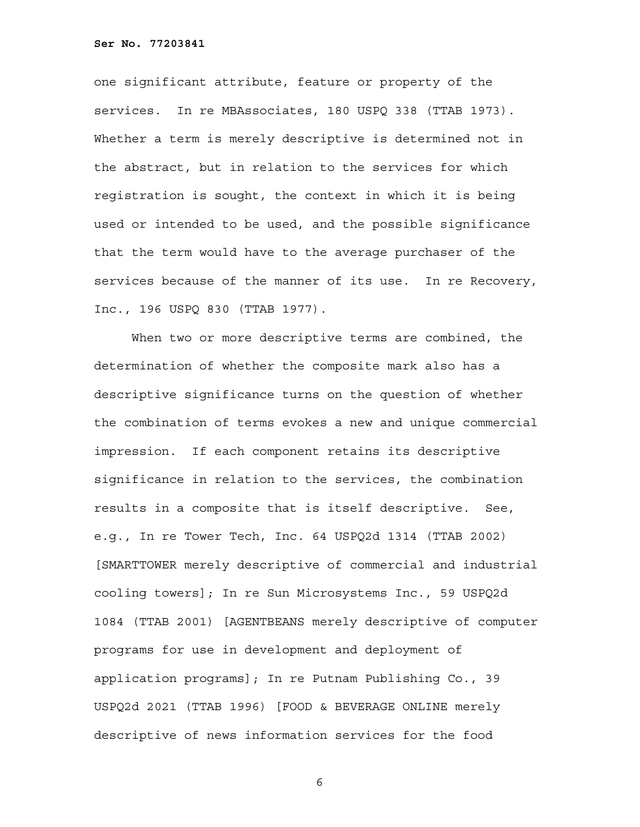one significant attribute, feature or property of the services. In re MBAssociates, 180 USPQ 338 (TTAB 1973). Whether a term is merely descriptive is determined not in the abstract, but in relation to the services for which registration is sought, the context in which it is being used or intended to be used, and the possible significance that the term would have to the average purchaser of the services because of the manner of its use. In re Recovery, Inc., 196 USPQ 830 (TTAB 1977).

When two or more descriptive terms are combined, the determination of whether the composite mark also has a descriptive significance turns on the question of whether the combination of terms evokes a new and unique commercial impression. If each component retains its descriptive significance in relation to the services, the combination results in a composite that is itself descriptive. See, e.g., In re Tower Tech, Inc. 64 USPQ2d 1314 (TTAB 2002) [SMARTTOWER merely descriptive of commercial and industrial cooling towers]; In re Sun Microsystems Inc., 59 USPQ2d 1084 (TTAB 2001) [AGENTBEANS merely descriptive of computer programs for use in development and deployment of application programs]; In re Putnam Publishing Co., 39 USPQ2d 2021 (TTAB 1996) [FOOD & BEVERAGE ONLINE merely descriptive of news information services for the food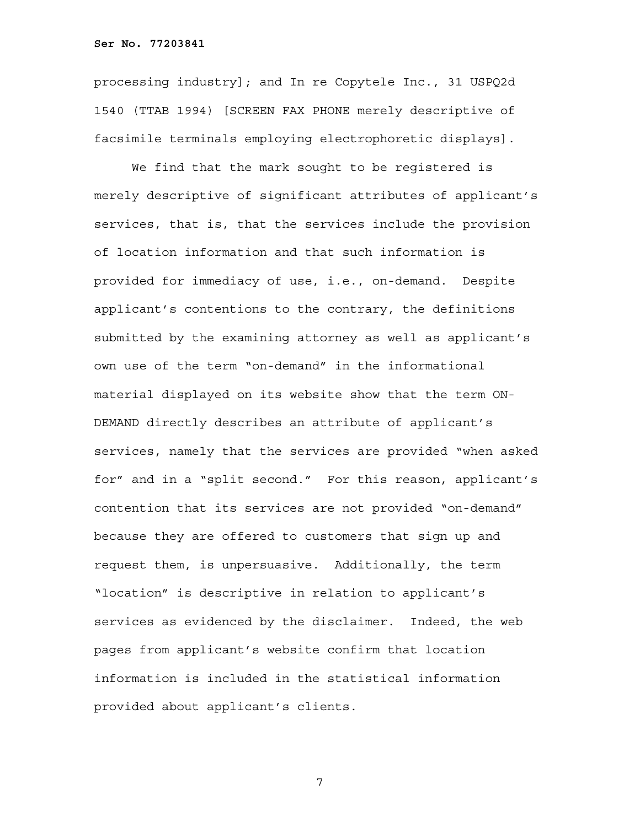**Ser No. 77203841**

processing industry]; and In re Copytele Inc., 31 USPQ2d 1540 (TTAB 1994) [SCREEN FAX PHONE merely descriptive of facsimile terminals employing electrophoretic displays].

We find that the mark sought to be registered is merely descriptive of significant attributes of applicant's services, that is, that the services include the provision of location information and that such information is provided for immediacy of use, i.e., on-demand. Despite applicant's contentions to the contrary, the definitions submitted by the examining attorney as well as applicant's own use of the term "on-demand" in the informational material displayed on its website show that the term ON-DEMAND directly describes an attribute of applicant's services, namely that the services are provided "when asked for" and in a "split second." For this reason, applicant's contention that its services are not provided "on-demand" because they are offered to customers that sign up and request them, is unpersuasive. Additionally, the term "location" is descriptive in relation to applicant's services as evidenced by the disclaimer. Indeed, the web pages from applicant's website confirm that location information is included in the statistical information provided about applicant's clients.